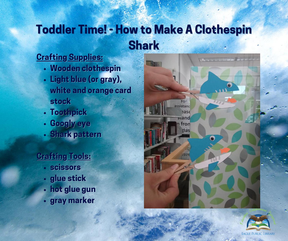# Toddler Time! - How to Make A Clothespin **Shark**

#### Crafting Supplies:

- Wooden clothespin
- Light blue (or gray), white and orange card stock
- Toothpick
- Googly eye  $\bullet$
- Shark pattern

#### Crafting Tools:

- scissors
- glue stick
- hot glue gun  $\bullet$
- gray marker



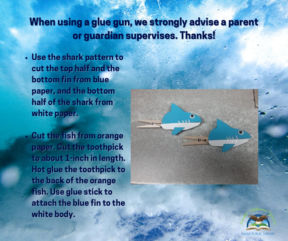## When using a glue gun, we strongly advise a parent or guardian supervises. Thanks!

- Use the shark pattern to cut the top half and the bottom fin from blue paper, and the bottom half of the shark from white paper.
- Cut the fish from orange paper. Cut the toothpick to about 1-inch in length. Hot glue the toothpick to the back of the orange fish. Use glue stick to attach the blue fin to the white body.



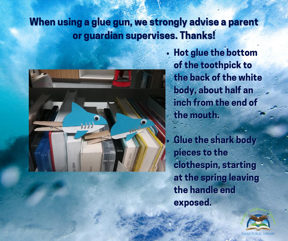## When using a glue gun, we strongly advise a parent or guardian supervises. Thanks!



Hot glue the bottom of the toothpick to the back of the white body, about half an inch from the end of the mouth.

Glue the shark body pieces to the clothespin, starting at the spring leaving the handle end exposed.

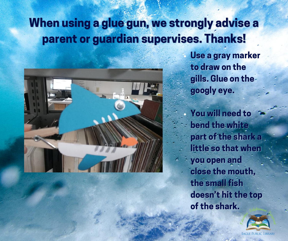## When using a glue gun, we strongly advise a parent or guardian supervises. Thanks!



Use a gray marker to draw on the gills. Glue on the googly eye.

You will need to bend the white part of the shark a little so that when you open and close the mouth, the small fish doesn't hit the top of the shark.